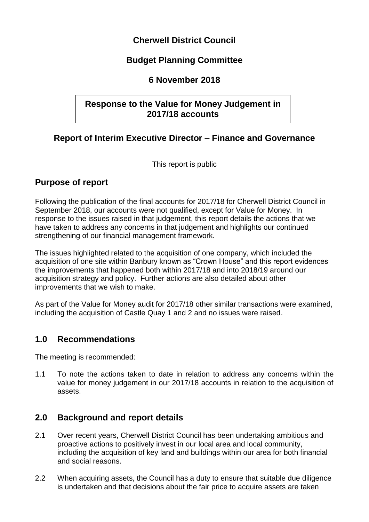## **Cherwell District Council**

# **Budget Planning Committee**

#### **6 November 2018**

## **Response to the Value for Money Judgement in 2017/18 accounts**

# **Report of Interim Executive Director – Finance and Governance**

This report is public

## **Purpose of report**

Following the publication of the final accounts for 2017/18 for Cherwell District Council in September 2018, our accounts were not qualified, except for Value for Money. In response to the issues raised in that judgement, this report details the actions that we have taken to address any concerns in that judgement and highlights our continued strengthening of our financial management framework.

The issues highlighted related to the acquisition of one company, which included the acquisition of one site within Banbury known as "Crown House" and this report evidences the improvements that happened both within 2017/18 and into 2018/19 around our acquisition strategy and policy. Further actions are also detailed about other improvements that we wish to make.

As part of the Value for Money audit for 2017/18 other similar transactions were examined, including the acquisition of Castle Quay 1 and 2 and no issues were raised.

## **1.0 Recommendations**

The meeting is recommended:

1.1 To note the actions taken to date in relation to address any concerns within the value for money judgement in our 2017/18 accounts in relation to the acquisition of assets.

## **2.0 Background and report details**

- 2.1 Over recent years, Cherwell District Council has been undertaking ambitious and proactive actions to positively invest in our local area and local community, including the acquisition of key land and buildings within our area for both financial and social reasons.
- 2.2 When acquiring assets, the Council has a duty to ensure that suitable due diligence is undertaken and that decisions about the fair price to acquire assets are taken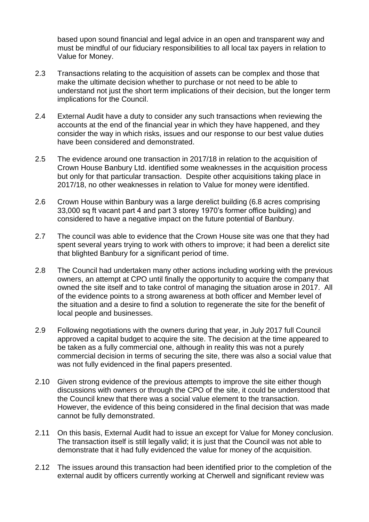based upon sound financial and legal advice in an open and transparent way and must be mindful of our fiduciary responsibilities to all local tax payers in relation to Value for Money.

- 2.3 Transactions relating to the acquisition of assets can be complex and those that make the ultimate decision whether to purchase or not need to be able to understand not just the short term implications of their decision, but the longer term implications for the Council.
- 2.4 External Audit have a duty to consider any such transactions when reviewing the accounts at the end of the financial year in which they have happened, and they consider the way in which risks, issues and our response to our best value duties have been considered and demonstrated.
- 2.5 The evidence around one transaction in 2017/18 in relation to the acquisition of Crown House Banbury Ltd. identified some weaknesses in the acquisition process but only for that particular transaction. Despite other acquisitions taking place in 2017/18, no other weaknesses in relation to Value for money were identified.
- 2.6 Crown House within Banbury was a large derelict building (6.8 acres comprising 33,000 sq ft vacant part 4 and part 3 storey 1970's former office building) and considered to have a negative impact on the future potential of Banbury.
- 2.7 The council was able to evidence that the Crown House site was one that they had spent several years trying to work with others to improve; it had been a derelict site that blighted Banbury for a significant period of time.
- 2.8 The Council had undertaken many other actions including working with the previous owners, an attempt at CPO until finally the opportunity to acquire the company that owned the site itself and to take control of managing the situation arose in 2017. All of the evidence points to a strong awareness at both officer and Member level of the situation and a desire to find a solution to regenerate the site for the benefit of local people and businesses.
- 2.9 Following negotiations with the owners during that year, in July 2017 full Council approved a capital budget to acquire the site. The decision at the time appeared to be taken as a fully commercial one, although in reality this was not a purely commercial decision in terms of securing the site, there was also a social value that was not fully evidenced in the final papers presented.
- 2.10 Given strong evidence of the previous attempts to improve the site either though discussions with owners or through the CPO of the site, it could be understood that the Council knew that there was a social value element to the transaction. However, the evidence of this being considered in the final decision that was made cannot be fully demonstrated.
- 2.11 On this basis, External Audit had to issue an except for Value for Money conclusion. The transaction itself is still legally valid; it is just that the Council was not able to demonstrate that it had fully evidenced the value for money of the acquisition.
- 2.12 The issues around this transaction had been identified prior to the completion of the external audit by officers currently working at Cherwell and significant review was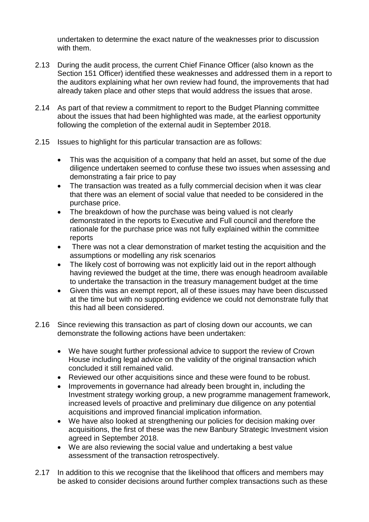undertaken to determine the exact nature of the weaknesses prior to discussion with them.

- 2.13 During the audit process, the current Chief Finance Officer (also known as the Section 151 Officer) identified these weaknesses and addressed them in a report to the auditors explaining what her own review had found, the improvements that had already taken place and other steps that would address the issues that arose.
- 2.14 As part of that review a commitment to report to the Budget Planning committee about the issues that had been highlighted was made, at the earliest opportunity following the completion of the external audit in September 2018.
- 2.15 Issues to highlight for this particular transaction are as follows:
	- This was the acquisition of a company that held an asset, but some of the due diligence undertaken seemed to confuse these two issues when assessing and demonstrating a fair price to pay
	- The transaction was treated as a fully commercial decision when it was clear that there was an element of social value that needed to be considered in the purchase price.
	- The breakdown of how the purchase was being valued is not clearly demonstrated in the reports to Executive and Full council and therefore the rationale for the purchase price was not fully explained within the committee reports
	- There was not a clear demonstration of market testing the acquisition and the assumptions or modelling any risk scenarios
	- The likely cost of borrowing was not explicitly laid out in the report although having reviewed the budget at the time, there was enough headroom available to undertake the transaction in the treasury management budget at the time
	- Given this was an exempt report, all of these issues may have been discussed at the time but with no supporting evidence we could not demonstrate fully that this had all been considered.
- 2.16 Since reviewing this transaction as part of closing down our accounts, we can demonstrate the following actions have been undertaken:
	- We have sought further professional advice to support the review of Crown House including legal advice on the validity of the original transaction which concluded it still remained valid.
	- Reviewed our other acquisitions since and these were found to be robust.
	- Improvements in governance had already been brought in, including the Investment strategy working group, a new programme management framework, increased levels of proactive and preliminary due diligence on any potential acquisitions and improved financial implication information.
	- We have also looked at strengthening our policies for decision making over acquisitions, the first of these was the new Banbury Strategic Investment vision agreed in September 2018.
	- We are also reviewing the social value and undertaking a best value assessment of the transaction retrospectively.
- 2.17 In addition to this we recognise that the likelihood that officers and members may be asked to consider decisions around further complex transactions such as these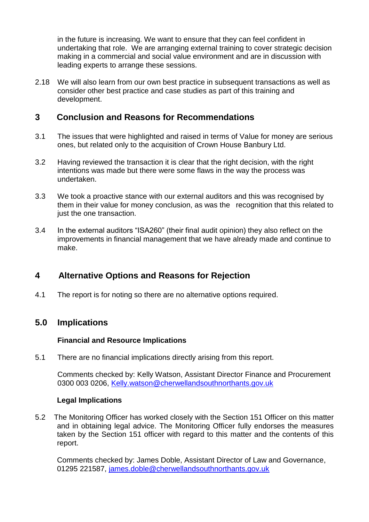in the future is increasing. We want to ensure that they can feel confident in undertaking that role. We are arranging external training to cover strategic decision making in a commercial and social value environment and are in discussion with leading experts to arrange these sessions.

2.18 We will also learn from our own best practice in subsequent transactions as well as consider other best practice and case studies as part of this training and development.

#### **3 Conclusion and Reasons for Recommendations**

- 3.1 The issues that were highlighted and raised in terms of Value for money are serious ones, but related only to the acquisition of Crown House Banbury Ltd.
- 3.2 Having reviewed the transaction it is clear that the right decision, with the right intentions was made but there were some flaws in the way the process was undertaken.
- 3.3 We took a proactive stance with our external auditors and this was recognised by them in their value for money conclusion, as was the recognition that this related to just the one transaction.
- 3.4 In the external auditors "ISA260" (their final audit opinion) they also reflect on the improvements in financial management that we have already made and continue to make.

## **4 Alternative Options and Reasons for Rejection**

4.1 The report is for noting so there are no alternative options required.

## **5.0 Implications**

#### **Financial and Resource Implications**

5.1 There are no financial implications directly arising from this report.

Comments checked by: Kelly Watson, Assistant Director Finance and Procurement 0300 003 0206, [Kelly.watson@cherwellandsouthnorthants.gov.uk](mailto:Kelly.watson@cherwellandsouthnorthants.gov.uk)

#### **Legal Implications**

5.2 The Monitoring Officer has worked closely with the Section 151 Officer on this matter and in obtaining legal advice. The Monitoring Officer fully endorses the measures taken by the Section 151 officer with regard to this matter and the contents of this report.

Comments checked by: James Doble, Assistant Director of Law and Governance, 01295 221587, [james.doble@cherwellandsouthnorthants.gov.uk](mailto:james.doble@cherwellandsouthnorthants.gov.uk)